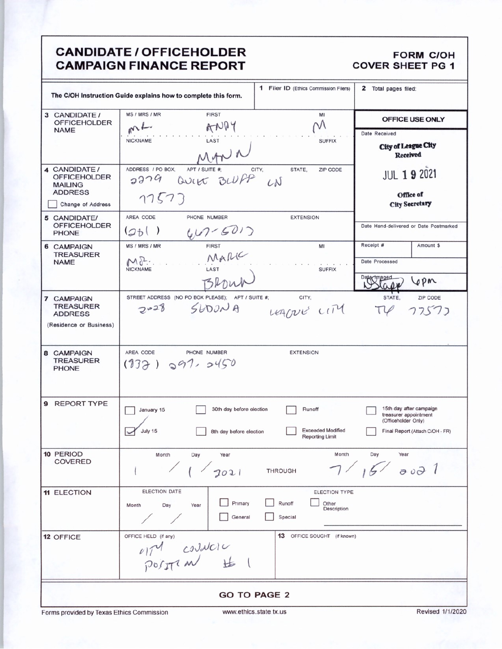## **CANDIDATE / OFFICEHOLDER CAMPAIGN FINANCE REPORT**

## **FORM C/OH COVER SHEET PG 1**

| <b>1</b> Filer ID (Ethics Commission Filers)<br>2 Total pages filed:<br>The C/OH Instruction Guide explains how to complete this form. |                                                   |                                                    |                                                  |  |  |
|----------------------------------------------------------------------------------------------------------------------------------------|---------------------------------------------------|----------------------------------------------------|--------------------------------------------------|--|--|
| 3 CANDIDATE /<br><b>OFFICEHOLDER</b>                                                                                                   | MS / MRS / MR<br><b>FIRST</b>                     | MI                                                 | OFFICE USE ONLY                                  |  |  |
| <b>NAME</b>                                                                                                                            | ANDY<br>nL                                        |                                                    | Date Received                                    |  |  |
|                                                                                                                                        | LAST<br><b>NICKNAME</b>                           | <b>SUFFIX</b>                                      | <b>City of League City</b>                       |  |  |
|                                                                                                                                        | MANI                                              |                                                    | Received                                         |  |  |
| 4 CANDIDATE /                                                                                                                          | APT / SUITE #:<br>ADDRESS / PO BOX.               | CITY,<br>STATE,<br>ZIP CODE                        | <b>JUL 19 2021</b>                               |  |  |
| <b>OFFICEHOLDER</b><br><b>MAILING</b>                                                                                                  | 2279 QUIER BLUPP                                  |                                                    |                                                  |  |  |
| <b>ADDRESS</b>                                                                                                                         |                                                   |                                                    | Office of                                        |  |  |
| Change of Address                                                                                                                      | 17573                                             |                                                    | <b>City Secretary</b>                            |  |  |
| 5 CANDIDATE/                                                                                                                           | AREA CODE<br>PHONE NUMBER                         | <b>EXTENSION</b>                                   |                                                  |  |  |
| <b>OFFICEHOLDER</b>                                                                                                                    |                                                   |                                                    | Date Hand-delivered or Date Postmarked           |  |  |
| <b>PHONE</b>                                                                                                                           | $\left( z_{b}\right)$                             |                                                    |                                                  |  |  |
| <b>6 CAMPAIGN</b>                                                                                                                      | $407 - 6012$<br>MS / MRS / MR                     | MI                                                 | Receipt #<br>Amount \$                           |  |  |
| <b>TREASURER</b>                                                                                                                       | MARIC<br>$M_{\sigma}$ .                           |                                                    |                                                  |  |  |
| <b>NAME</b>                                                                                                                            | LAST<br><b>NICKNAME</b>                           | <b>SUFFIX</b>                                      | Date Processed                                   |  |  |
|                                                                                                                                        | BROW                                              |                                                    | aged<br>Lepn                                     |  |  |
|                                                                                                                                        |                                                   |                                                    |                                                  |  |  |
| 7 CAMPAIGN                                                                                                                             | STREET ADDRESS (NO PO BOX PLEASE); APT / SUITE #; | CITY.                                              | STATE.<br>ZIP CODE                               |  |  |
| <b>TREASURER</b><br><b>ADDRESS</b>                                                                                                     | $2028$ SLOUNA                                     | LEACTURE CITY                                      | $T\varphi$<br>77577                              |  |  |
| (Residence or Business)                                                                                                                |                                                   |                                                    |                                                  |  |  |
|                                                                                                                                        |                                                   |                                                    |                                                  |  |  |
|                                                                                                                                        |                                                   |                                                    |                                                  |  |  |
| 8 CAMPAIGN                                                                                                                             | AREA CODE<br>PHONE NUMBER                         | <b>EXTENSION</b>                                   |                                                  |  |  |
| <b>TREASURER</b><br><b>PHONE</b>                                                                                                       | $(932)$ $997.9450$                                |                                                    |                                                  |  |  |
|                                                                                                                                        |                                                   |                                                    |                                                  |  |  |
|                                                                                                                                        |                                                   |                                                    |                                                  |  |  |
| <b>REPORT TYPE</b><br>9                                                                                                                |                                                   |                                                    |                                                  |  |  |
|                                                                                                                                        | 30th day before election<br>January 15            | Runoff                                             | 15th day after campaign<br>treasurer appointment |  |  |
|                                                                                                                                        |                                                   |                                                    | (Officeholder Only)                              |  |  |
|                                                                                                                                        | July 15<br>8th day before election                | <b>Exceeded Modified</b><br><b>Reporting Limit</b> | Final Report (Attach C/OH - FR)                  |  |  |
|                                                                                                                                        |                                                   |                                                    |                                                  |  |  |
| 10 PERIOD                                                                                                                              | Month<br>Day<br>Year                              | Month                                              | Day<br>Year                                      |  |  |
| <b>COVERED</b>                                                                                                                         |                                                   |                                                    | 7/15/8001                                        |  |  |
|                                                                                                                                        | 1 / 2021                                          | <b>THROUGH</b>                                     |                                                  |  |  |
| <b>11 ELECTION</b>                                                                                                                     | <b>ELECTION DATE</b>                              | ELECTION TYPE                                      |                                                  |  |  |
|                                                                                                                                        | Primary                                           | Runoff<br>Other                                    |                                                  |  |  |
|                                                                                                                                        | Month<br>Day<br>Year                              | Description                                        |                                                  |  |  |
|                                                                                                                                        | General                                           | Special                                            |                                                  |  |  |
| 12 OFFICE                                                                                                                              | OFFICE HELD (if any)                              | <b>13</b> OFFICE SOUGHT (if known)                 |                                                  |  |  |
|                                                                                                                                        |                                                   |                                                    |                                                  |  |  |
|                                                                                                                                        |                                                   |                                                    |                                                  |  |  |
|                                                                                                                                        | $M_{\text{polyr1}}$ $M_{\text{polyr1}}$           |                                                    |                                                  |  |  |
|                                                                                                                                        |                                                   |                                                    |                                                  |  |  |
|                                                                                                                                        |                                                   |                                                    |                                                  |  |  |
| <b>GO TO PAGE 2</b>                                                                                                                    |                                                   |                                                    |                                                  |  |  |
|                                                                                                                                        |                                                   |                                                    |                                                  |  |  |

Forms provided by Texas Ethics Commission

Revised 1/1/2020